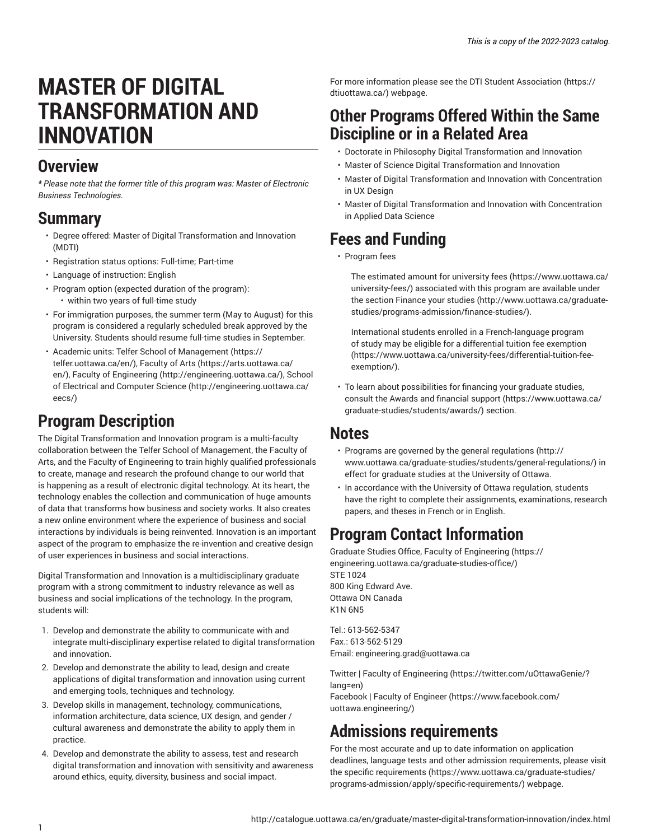# **MASTER OF DIGITAL TRANSFORMATION AND INNOVATION**

### **Overview**

*\* Please note that the former title of this program was: Master of Electronic Business Technologies.*

### **Summary**

- Degree offered: Master of Digital Transformation and Innovation (MDTI)
- Registration status options: Full-time; Part-time
- Language of instruction: English
- Program option (expected duration of the program): • within two years of full-time study
- For immigration purposes, the summer term (May to August) for this program is considered a regularly scheduled break approved by the University. Students should resume full-time studies in September.
- Academic units: Telfer School of [Management \(https://](https://telfer.uottawa.ca/en/) [telfer.uottawa.ca/en/\)](https://telfer.uottawa.ca/en/), [Faculty](https://arts.uottawa.ca/en/) of Arts [\(https://arts.uottawa.ca/](https://arts.uottawa.ca/en/) [en/](https://arts.uottawa.ca/en/)), Faculty of [Engineering \(http://engineering.uottawa.ca/](http://engineering.uottawa.ca/)), [School](http://engineering.uottawa.ca/eecs/) [of Electrical and Computer Science](http://engineering.uottawa.ca/eecs/) ([http://engineering.uottawa.ca/](http://engineering.uottawa.ca/eecs/) [eecs/](http://engineering.uottawa.ca/eecs/))

### **Program Description**

The Digital Transformation and Innovation program is a multi-faculty collaboration between the Telfer School of Management, the Faculty of Arts, and the Faculty of Engineering to train highly qualified professionals to create, manage and research the profound change to our world that is happening as a result of electronic digital technology. At its heart, the technology enables the collection and communication of huge amounts of data that transforms how business and society works. It also creates a new online environment where the experience of business and social interactions by individuals is being reinvented. Innovation is an important aspect of the program to emphasize the re-invention and creative design of user experiences in business and social interactions.

Digital Transformation and Innovation is a multidisciplinary graduate program with a strong commitment to industry relevance as well as business and social implications of the technology. In the program, students will:

- 1. Develop and demonstrate the ability to communicate with and integrate multi-disciplinary expertise related to digital transformation and innovation.
- 2. Develop and demonstrate the ability to lead, design and create applications of digital transformation and innovation using current and emerging tools, techniques and technology.
- 3. Develop skills in management, technology, communications, information architecture, data science, UX design, and gender / cultural awareness and demonstrate the ability to apply them in practice.
- 4. Develop and demonstrate the ability to assess, test and research digital transformation and innovation with sensitivity and awareness around ethics, equity, diversity, business and social impact.

For more information please see the DTI Student [Association](https://dtiuottawa.ca/) ([https://](https://dtiuottawa.ca/) [dtiuottawa.ca/](https://dtiuottawa.ca/)) webpage.

### **Other Programs Offered Within the Same Discipline or in a Related Area**

- Doctorate in Philosophy Digital Transformation and Innovation
- Master of Science Digital Transformation and Innovation
- Master of Digital Transformation and Innovation with Concentration in UX Design
- Master of Digital Transformation and Innovation with Concentration in Applied Data Science

## **Fees and Funding**

• Program fees

The estimated amount for [university](https://www.uottawa.ca/university-fees/) fees ([https://www.uottawa.ca/](https://www.uottawa.ca/university-fees/) [university-fees/](https://www.uottawa.ca/university-fees/)) associated with this program are available under the section [Finance](http://www.uottawa.ca/graduate-studies/programs-admission/finance-studies/) your studies ([http://www.uottawa.ca/graduate](http://www.uottawa.ca/graduate-studies/programs-admission/finance-studies/)[studies/programs-admission/finance-studies/\)](http://www.uottawa.ca/graduate-studies/programs-admission/finance-studies/).

International students enrolled in a French-language program of study may be eligible for a [differential](https://www.uottawa.ca/university-fees/differential-tuition-fee-exemption/) tuition fee exemption [\(https://www.uottawa.ca/university-fees/differential-tuition-fee](https://www.uottawa.ca/university-fees/differential-tuition-fee-exemption/)[exemption/\)](https://www.uottawa.ca/university-fees/differential-tuition-fee-exemption/).

• To learn about possibilities for financing your graduate studies, consult the Awards and [financial](https://www.uottawa.ca/graduate-studies/students/awards/) support [\(https://www.uottawa.ca/](https://www.uottawa.ca/graduate-studies/students/awards/) [graduate-studies/students/awards/](https://www.uottawa.ca/graduate-studies/students/awards/)) section.

### **Notes**

- Programs are governed by the general [regulations](http://www.uottawa.ca/graduate-studies/students/general-regulations/) ([http://](http://www.uottawa.ca/graduate-studies/students/general-regulations/) [www.uottawa.ca/graduate-studies/students/general-regulations/](http://www.uottawa.ca/graduate-studies/students/general-regulations/)) in effect for graduate studies at the University of Ottawa.
- In accordance with the University of Ottawa regulation, students have the right to complete their assignments, examinations, research papers, and theses in French or in English.

### **Program Contact Information**

Graduate Studies Office, Faculty of [Engineering \(https://](https://engineering.uottawa.ca/graduate-studies-office/) [engineering.uottawa.ca/graduate-studies-office/\)](https://engineering.uottawa.ca/graduate-studies-office/) STE 1024 800 King Edward Ave. Ottawa ON Canada K1N 6N5

Tel.: 613-562-5347 Fax.: 613-562-5129 Email: [engineering.grad@uottawa.ca](mailto:engineering.grad@uottawa.ca)

Twitter | Faculty of [Engineering \(https://twitter.com/uOttawaGenie/?](https://twitter.com/uOttawaGenie/?lang=en) [lang=en](https://twitter.com/uOttawaGenie/?lang=en)) [Facebook](https://www.facebook.com/uottawa.engineering/) | Faculty of Engineer [\(https://www.facebook.com/](https://www.facebook.com/uottawa.engineering/)

### [uottawa.engineering/](https://www.facebook.com/uottawa.engineering/))

### **Admissions requirements**

For the most accurate and up to date information on application deadlines, language tests and other admission requirements, please visit the specific [requirements](https://www.uottawa.ca/graduate-studies/programs-admission/apply/specific-requirements/) ([https://www.uottawa.ca/graduate-studies/](https://www.uottawa.ca/graduate-studies/programs-admission/apply/specific-requirements/) [programs-admission/apply/specific-requirements/\)](https://www.uottawa.ca/graduate-studies/programs-admission/apply/specific-requirements/) webpage.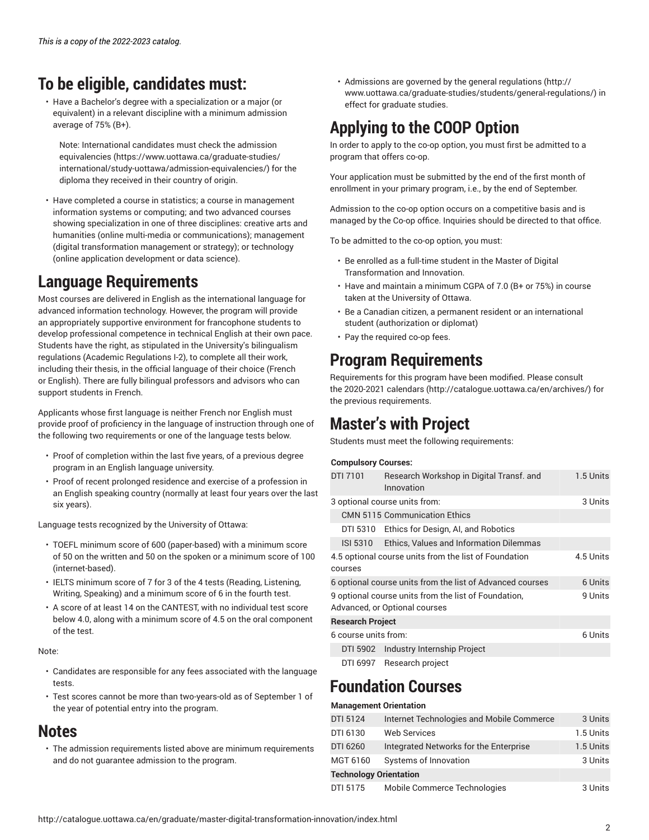## **To be eligible, candidates must:**

• Have a Bachelor's degree with a specialization or a major (or equivalent) in a relevant discipline with a minimum admission average of 75% (B+).

Note: International candidates must check the [admission](https://www.uottawa.ca/graduate-studies/international/study-uottawa/admission-equivalencies/) [equivalencies](https://www.uottawa.ca/graduate-studies/international/study-uottawa/admission-equivalencies/) ([https://www.uottawa.ca/graduate-studies/](https://www.uottawa.ca/graduate-studies/international/study-uottawa/admission-equivalencies/) [international/study-uottawa/admission-equivalencies/\)](https://www.uottawa.ca/graduate-studies/international/study-uottawa/admission-equivalencies/) for the diploma they received in their country of origin.

• Have completed a course in statistics; a course in management information systems or computing; and two advanced courses showing specialization in one of three disciplines: creative arts and humanities (online multi-media or communications); management (digital transformation management or strategy); or technology (online application development or data science).

### **Language Requirements**

Most courses are delivered in English as the international language for advanced information technology. However, the program will provide an appropriately supportive environment for francophone students to develop professional competence in technical English at their own pace. Students have the right, as stipulated in the University's bilingualism regulations (Academic Regulations I-2), to complete all their work, including their thesis, in the official language of their choice (French or English). There are fully bilingual professors and advisors who can support students in French.

Applicants whose first language is neither French nor English must provide proof of proficiency in the language of instruction through one of the following two requirements or one of the language tests below.

- Proof of completion within the last five years, of a previous degree program in an English language university.
- Proof of recent prolonged residence and exercise of a profession in an English speaking country (normally at least four years over the last six years).

Language tests recognized by the University of Ottawa:

- TOEFL minimum score of 600 (paper-based) with a minimum score of 50 on the written and 50 on the spoken or a minimum score of 100 (internet-based).
- IELTS minimum score of 7 for 3 of the 4 tests (Reading, Listening, Writing, Speaking) and a minimum score of 6 in the fourth test.
- A score of at least 14 on the CANTEST, with no individual test score below 4.0, along with a minimum score of 4.5 on the oral component of the test.

Note:

- Candidates are responsible for any fees associated with the language tests.
- Test scores cannot be more than two-years-old as of September 1 of the year of potential entry into the program.

### **Notes**

• The admission requirements listed above are minimum requirements and do not guarantee admission to the program.

• Admissions are governed by the general [regulations](http://www.uottawa.ca/graduate-studies/students/general-regulations/) ([http://](http://www.uottawa.ca/graduate-studies/students/general-regulations/) [www.uottawa.ca/graduate-studies/students/general-regulations/](http://www.uottawa.ca/graduate-studies/students/general-regulations/)) in effect for graduate studies.

## **Applying to the COOP Option**

In order to apply to the co-op option, you must first be admitted to a program that offers co-op.

Your application must be submitted by the end of the first month of enrollment in your primary program, i.e., by the end of September.

Admission to the co-op option occurs on a competitive basis and is managed by the Co-op office. Inquiries should be directed to that office.

To be admitted to the co-op option, you must:

- Be enrolled as a full-time student in the Master of Digital Transformation and Innovation.
- Have and maintain a minimum CGPA of 7.0 (B+ or 75%) in course taken at the University of Ottawa.
- Be a Canadian citizen, a permanent resident or an international student (authorization or diplomat)
- Pay the required co-op fees.

### **Program Requirements**

Requirements for this program have been modified. Please consult the [2020-2021 calendars](http://catalogue.uottawa.ca/en/archives/) (<http://catalogue.uottawa.ca/en/archives/>) for the previous requirements.

### **Master's with Project**

Students must meet the following requirements:

#### **Compulsory Courses:**

| <b>DTI 7101</b>                                                               | Research Workshop in Digital Transf. and<br>Innovation                                | 1.5 Units |
|-------------------------------------------------------------------------------|---------------------------------------------------------------------------------------|-----------|
|                                                                               | 3 optional course units from:                                                         | 3 Units   |
|                                                                               | <b>CMN 5115 Communication Ethics</b>                                                  |           |
|                                                                               | DTI 5310 Ethics for Design, AI, and Robotics                                          |           |
|                                                                               | ISI 5310 Ethics, Values and Information Dilemmas                                      |           |
| 4.5 Units<br>4.5 optional course units from the list of Foundation<br>courses |                                                                                       |           |
| 6 Units<br>6 optional course units from the list of Advanced courses          |                                                                                       |           |
|                                                                               | 9 optional course units from the list of Foundation,<br>Advanced, or Optional courses | 9 Units   |
| <b>Research Project</b>                                                       |                                                                                       |           |
| 6 course units from:                                                          | 6 Units                                                                               |           |
|                                                                               | DTI 5902 Industry Internship Project                                                  |           |
| DTI 6997                                                                      | Research project                                                                      |           |

### **Foundation Courses**

#### **Management Orientation**

| DTI 5124                      | Internet Technologies and Mobile Commerce | 3 Units   |  |  |
|-------------------------------|-------------------------------------------|-----------|--|--|
| DTI 6130                      | <b>Web Services</b>                       | 1.5 Units |  |  |
| DTI 6260                      | Integrated Networks for the Enterprise    | 1.5 Units |  |  |
| MGT 6160                      | Systems of Innovation                     | 3 Units   |  |  |
| <b>Technology Orientation</b> |                                           |           |  |  |
| DTI 5175                      | Mobile Commerce Technologies              | 3 Units   |  |  |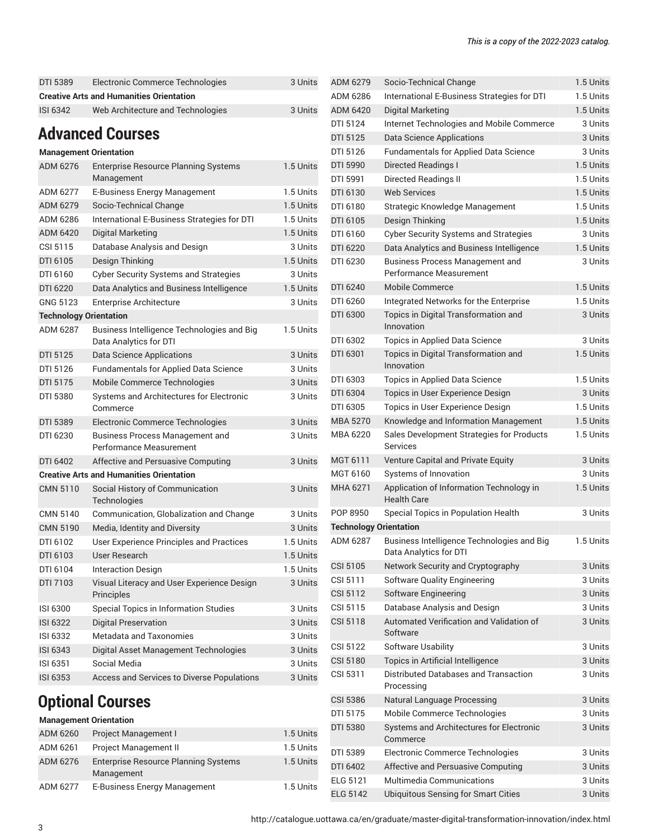| DTI 5389                      | Electronic Commerce Technologies                                  | 3 Units   | ADM 6279                      | Socio-Technical Change                                         | 1.5 Units            |
|-------------------------------|-------------------------------------------------------------------|-----------|-------------------------------|----------------------------------------------------------------|----------------------|
|                               | <b>Creative Arts and Humanities Orientation</b>                   |           | ADM 6286                      | International E-Business Strategies for DTI                    | 1.5 Units            |
| <b>ISI 6342</b>               | Web Architecture and Technologies                                 | 3 Units   | ADM 6420                      | <b>Digital Marketing</b>                                       | 1.5 Units            |
|                               |                                                                   |           | DTI 5124                      | Internet Technologies and Mobile Commerce                      | 3 Units              |
|                               | <b>Advanced Courses</b>                                           |           | DTI 5125                      | <b>Data Science Applications</b>                               | 3 Units              |
|                               | <b>Management Orientation</b>                                     |           | DTI 5126                      | <b>Fundamentals for Applied Data Science</b>                   | 3 Units              |
| ADM 6276                      | <b>Enterprise Resource Planning Systems</b>                       | 1.5 Units | DTI 5990                      | Directed Readings I                                            | 1.5 Units            |
|                               | Management                                                        |           | DTI 5991                      | <b>Directed Readings II</b>                                    | 1.5 Units            |
| ADM 6277                      | E-Business Energy Management                                      | 1.5 Units | DTI 6130                      | <b>Web Services</b>                                            | 1.5 Units            |
| ADM 6279                      | Socio-Technical Change                                            | 1.5 Units | DTI 6180                      | Strategic Knowledge Management                                 | 1.5 Units            |
| ADM 6286                      | International E-Business Strategies for DTI                       | 1.5 Units | DTI 6105                      | Design Thinking                                                | 1.5 Units            |
| ADM 6420                      | <b>Digital Marketing</b>                                          | 1.5 Units | DTI 6160                      | <b>Cyber Security Systems and Strategies</b>                   | 3 Units              |
| CSI 5115                      | Database Analysis and Design                                      | 3 Units   | DTI 6220                      | Data Analytics and Business Intelligence                       | 1.5 Units            |
| DTI 6105                      | Design Thinking                                                   | 1.5 Units | DTI 6230                      | <b>Business Process Management and</b>                         | 3 Units              |
| DTI 6160                      | <b>Cyber Security Systems and Strategies</b>                      | 3 Units   |                               | Performance Measurement                                        |                      |
| DTI 6220                      | Data Analytics and Business Intelligence                          | 1.5 Units | DTI 6240                      | Mobile Commerce                                                | 1.5 Units            |
| GNG 5123                      | <b>Enterprise Architecture</b>                                    | 3 Units   | DTI 6260                      | Integrated Networks for the Enterprise                         | 1.5 Units            |
| <b>Technology Orientation</b> |                                                                   |           | DTI 6300                      | Topics in Digital Transformation and                           | 3 Units              |
| <b>ADM 6287</b>               | Business Intelligence Technologies and Big                        | 1.5 Units |                               | Innovation                                                     |                      |
|                               | Data Analytics for DTI                                            |           | DTI 6302                      | Topics in Applied Data Science                                 | 3 Units              |
| DTI 5125                      | <b>Data Science Applications</b>                                  | 3 Units   | DTI 6301                      | Topics in Digital Transformation and<br>Innovation             | 1.5 Units            |
| DTI 5126                      | Fundamentals for Applied Data Science                             | 3 Units   | DTI 6303                      |                                                                | 1.5 Units            |
| DTI 5175                      | Mobile Commerce Technologies                                      | 3 Units   |                               | Topics in Applied Data Science                                 |                      |
| DTI 5380                      | Systems and Architectures for Electronic                          | 3 Units   | DTI 6304<br>DTI 6305          | Topics in User Experience Design                               | 3 Units<br>1.5 Units |
|                               | Commerce                                                          |           |                               | Topics in User Experience Design                               | 1.5 Units            |
| DTI 5389                      | Electronic Commerce Technologies                                  | 3 Units   | <b>MBA 5270</b>               | Knowledge and Information Management                           | 1.5 Units            |
| DTI 6230                      | <b>Business Process Management and</b><br>Performance Measurement | 3 Units   | MBA 6220                      | Sales Development Strategies for Products<br>Services          |                      |
| DTI 6402                      | Affective and Persuasive Computing                                | 3 Units   | MGT 6111                      | Venture Capital and Private Equity                             | 3 Units              |
|                               | <b>Creative Arts and Humanities Orientation</b>                   |           | MGT 6160                      | Systems of Innovation                                          | 3 Units              |
| <b>CMN 5110</b>               | Social History of Communication<br>Technologies                   | 3 Units   | MHA 6271                      | Application of Information Technology in<br><b>Health Care</b> | 1.5 Units            |
| CMN 5140                      | Communication, Globalization and Change                           | 3 Units   | POP 8950                      | Special Topics in Population Health                            | 3 Units              |
| <b>CMN 5190</b>               | Media, Identity and Diversity                                     | 3 Units   | <b>Technology Orientation</b> |                                                                |                      |
| DTI 6102                      | User Experience Principles and Practices                          | 1.5 Units | ADM 6287                      | Business Intelligence Technologies and Big                     | 1.5 Units            |
| DTI 6103                      | User Research                                                     | 1.5 Units |                               | Data Analytics for DTI                                         |                      |
| DTI 6104                      | <b>Interaction Design</b>                                         | 1.5 Units | CSI 5105                      | Network Security and Cryptography                              | 3 Units              |
| DTI 7103                      | Visual Literacy and User Experience Design                        | 3 Units   | CSI 5111                      | Software Quality Engineering                                   | 3 Units              |
|                               | Principles                                                        |           | CSI 5112                      | Software Engineering                                           | 3 Units              |
| ISI 6300                      | Special Topics in Information Studies                             | 3 Units   | CSI 5115                      | Database Analysis and Design                                   | 3 Units              |
| <b>ISI 6322</b>               | <b>Digital Preservation</b>                                       | 3 Units   | <b>CSI 5118</b>               | Automated Verification and Validation of                       | 3 Units              |
| ISI 6332                      | Metadata and Taxonomies                                           | 3 Units   |                               | Software                                                       |                      |

| ADM 6286                      | International E-Business Strategies for DTI                              | 1.5 Units          |
|-------------------------------|--------------------------------------------------------------------------|--------------------|
| ADM 6420                      | Digital Marketing                                                        | 1.5 Units          |
| DTI 5124                      | Internet Technologies and Mobile Commerce                                | 3 Units            |
| <b>DTI 5125</b>               | <b>Data Science Applications</b>                                         | 3 Units            |
| DTI 5126                      | <b>Fundamentals for Applied Data Science</b>                             | 3 Units            |
| DTI 5990                      | <b>Directed Readings I</b>                                               | 1.5 Units          |
| DTI 5991                      | Directed Readings II                                                     | 1.5 Units          |
| DTI 6130                      | <b>Web Services</b>                                                      | 1.5 Units          |
| DTI 6180                      | Strategic Knowledge Management                                           | 1.5 Units          |
| DTI 6105                      | Design Thinking                                                          | 1.5 Units          |
| DTI 6160                      | <b>Cyber Security Systems and Strategies</b>                             | 3 Units            |
| DTI 6220                      | Data Analytics and Business Intelligence                                 | 1.5 Units          |
| DTI 6230                      | <b>Business Process Management and</b><br><b>Performance Measurement</b> | 3 Units            |
| DTI 6240                      | <b>Mobile Commerce</b>                                                   | 1.5 Units          |
| DTI 6260                      | Integrated Networks for the Enterprise                                   | 1.5 Units          |
| DTI 6300                      | Topics in Digital Transformation and<br>Innovation                       | 3 Units            |
| DTI 6302                      | Topics in Applied Data Science                                           | 3 Units            |
| DTI 6301                      | Topics in Digital Transformation and<br>Innovation                       | 1.5 Units          |
| DTI 6303                      | <b>Topics in Applied Data Science</b>                                    | 1.5 Units          |
| DTI 6304                      | Topics in User Experience Design                                         | 3 Units            |
| DTI 6305                      | Topics in User Experience Design                                         | 1.5 Units          |
| <b>MBA 5270</b>               | Knowledge and Information Management                                     | 1.5 Units          |
| MBA 6220                      | Sales Development Strategies for Products<br>Services                    | 1.5 Units          |
| MGT 6111                      | Venture Capital and Private Equity                                       | 3 Units            |
| MGT 6160                      | Systems of Innovation                                                    | 3 Units            |
| MHA 6271                      | Application of Information Technology in<br><b>Health Care</b>           | 1.5 Units          |
| POP 8950                      | Special Topics in Population Health                                      | 3 Units            |
| <b>Technology Orientation</b> |                                                                          |                    |
| ADM 6287                      | Business Intelligence Technologies and Big<br>Data Analytics for DTI     | 1.5 Units          |
| CSI 5105                      | Network Security and Cryptography                                        | 3 Units            |
| CSI 5111                      | Software Quality Engineering                                             | 3 Units            |
| <b>CSI 5112</b>               | Software Engineering                                                     | 3 Units            |
| CSI 5115                      | Database Analysis and Design                                             | 3 Units            |
| CSI 5118                      | Automated Verification and Validation of<br>Software                     | 3 Units            |
| CSI 5122                      | Software Usability                                                       | 3 Units            |
| <b>CSI 5180</b>               | Topics in Artificial Intelligence                                        | 3 Units            |
| CSI 5311                      | Distributed Databases and Transaction<br>Processing                      | 3 Units            |
| <b>CSI 5386</b>               | Natural Language Processing                                              | 3 Units            |
| DTI 5175                      | Mobile Commerce Technologies                                             | 3 Units            |
|                               |                                                                          |                    |
| DTI 5380                      | Systems and Architectures for Electronic<br>Commerce                     | 3 Units            |
| DTI 5389                      | Electronic Commerce Technologies                                         | 3 Units            |
| DTI 6402                      | Affective and Persuasive Computing                                       | 3 Units            |
| <b>ELG 5121</b>               | <b>Multimedia Communications</b>                                         | 3 Units<br>3 Units |

### **Optional Courses Management Orientation**

| <b>Management Orientation</b> |                                                           |           |
|-------------------------------|-----------------------------------------------------------|-----------|
| ADM 6260                      | Project Management I                                      | 1.5 Units |
| ADM 6261                      | <b>Project Management II</b>                              | 1.5 Units |
| ADM 6276                      | <b>Enterprise Resource Planning Systems</b><br>Management | 1.5 Units |
| ADM 6277                      | E-Business Energy Management                              | 1.5 Units |

ISI 6343 Digital Asset Management Technologies 3 Units ISI 6351 Social Media 3 Units ISI 6353 Access and Services to Diverse Populations 3 Units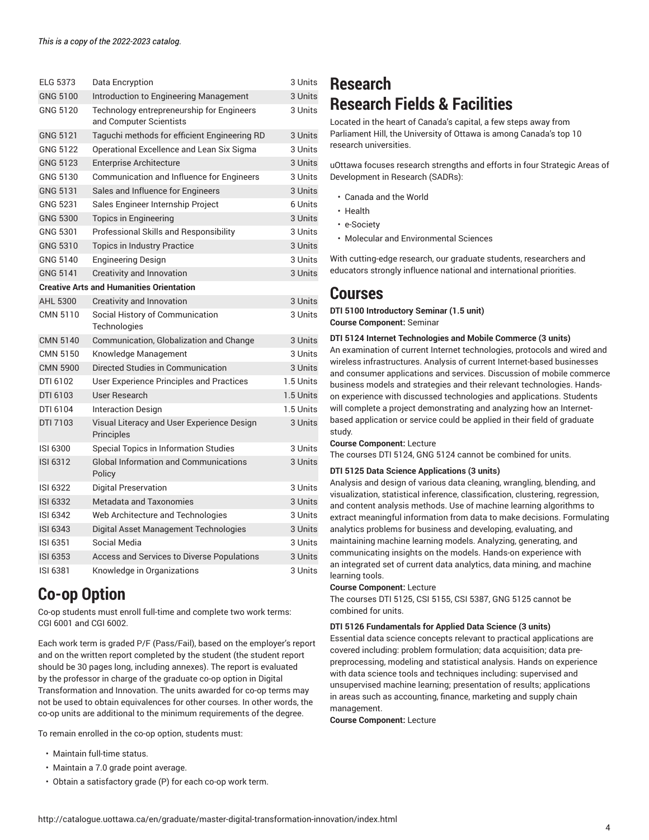| <b>ELG 5373</b> | Data Encryption                                                      | 3 Units   |
|-----------------|----------------------------------------------------------------------|-----------|
| GNG 5100        | Introduction to Engineering Management                               | 3 Units   |
| GNG 5120        | Technology entrepreneurship for Engineers<br>and Computer Scientists | 3 Units   |
| <b>GNG 5121</b> | Taguchi methods for efficient Engineering RD                         | 3 Units   |
| GNG 5122        | Operational Excellence and Lean Six Sigma                            | 3 Units   |
| GNG 5123        | <b>Enterprise Architecture</b>                                       | 3 Units   |
| GNG 5130        | Communication and Influence for Engineers                            | 3 Units   |
| GNG 5131        | Sales and Influence for Engineers                                    | 3 Units   |
| GNG 5231        | Sales Engineer Internship Project                                    | 6 Units   |
| <b>GNG 5300</b> | Topics in Engineering                                                | 3 Units   |
| GNG 5301        | Professional Skills and Responsibility                               | 3 Units   |
| GNG 5310        | Topics in Industry Practice                                          | 3 Units   |
| GNG 5140        | <b>Engineering Design</b>                                            | 3 Units   |
| GNG 5141        | Creativity and Innovation                                            | 3 Units   |
|                 | <b>Creative Arts and Humanities Orientation</b>                      |           |
| AHL 5300        | Creativity and Innovation                                            | 3 Units   |
| CMN 5110        | Social History of Communication                                      | 3 Units   |
|                 | Technologies                                                         |           |
| <b>CMN 5140</b> | Communication, Globalization and Change                              | 3 Units   |
| CMN 5150        | Knowledge Management                                                 | 3 Units   |
| <b>CMN 5900</b> | Directed Studies in Communication                                    | 3 Units   |
| DTI 6102        | User Experience Principles and Practices                             | 1.5 Units |
| DTI 6103        | User Research                                                        | 1.5 Units |
| DTI 6104        | <b>Interaction Design</b>                                            | 1.5 Units |
| DTI 7103        | Visual Literacy and User Experience Design<br>Principles             | 3 Units   |
| ISI 6300        | Special Topics in Information Studies                                | 3 Units   |
| <b>ISI 6312</b> | <b>Global Information and Communications</b><br>Policy               | 3 Units   |
| ISI 6322        | <b>Digital Preservation</b>                                          | 3 Units   |
| ISI 6332        | Metadata and Taxonomies                                              | 3 Units   |
| ISI 6342        | Web Architecture and Technologies                                    | 3 Units   |
| <b>ISI 6343</b> | Digital Asset Management Technologies                                | 3 Units   |
| ISI 6351        | Social Media                                                         | 3 Units   |
| <b>ISI 6353</b> | Access and Services to Diverse Populations                           | 3 Units   |
| ISI 6381        | Knowledge in Organizations                                           | 3 Units   |

### **Co-op Option**

Co-op students must enroll full-time and complete two work terms: CGI 6001 and CGI 6002.

Each work term is graded P/F (Pass/Fail), based on the employer's report and on the written report completed by the student (the student report should be 30 pages long, including annexes). The report is evaluated by the professor in charge of the graduate co-op option in Digital Transformation and Innovation. The units awarded for co-op terms may not be used to obtain equivalences for other courses. In other words, the co-op units are additional to the minimum requirements of the degree.

To remain enrolled in the co-op option, students must:

- Maintain full-time status.
- Maintain a 7.0 grade point average.
- Obtain a satisfactory grade (P) for each co-op work term.

### **Research Research Fields & Facilities**

Located in the heart of Canada's capital, a few steps away from Parliament Hill, the University of Ottawa is among Canada's top 10 research universities.

uOttawa focuses research strengths and efforts in four Strategic Areas of Development in Research (SADRs):

- Canada and the World
- Health
- e-Society
- Molecular and Environmental Sciences

With cutting-edge research, our graduate students, researchers and educators strongly influence national and international priorities.

### **Courses**

**DTI 5100 Introductory Seminar (1.5 unit) Course Component:** Seminar

#### **DTI 5124 Internet Technologies and Mobile Commerce (3 units)**

An examination of current Internet technologies, protocols and wired and wireless infrastructures. Analysis of current Internet-based businesses and consumer applications and services. Discussion of mobile commerce business models and strategies and their relevant technologies. Handson experience with discussed technologies and applications. Students will complete a project demonstrating and analyzing how an Internetbased application or service could be applied in their field of graduate study.

**Course Component:** Lecture

The courses DTI 5124, GNG 5124 cannot be combined for units.

#### **DTI 5125 Data Science Applications (3 units)**

Analysis and design of various data cleaning, wrangling, blending, and visualization, statistical inference, classification, clustering, regression, and content analysis methods. Use of machine learning algorithms to extract meaningful information from data to make decisions. Formulating analytics problems for business and developing, evaluating, and maintaining machine learning models. Analyzing, generating, and communicating insights on the models. Hands-on experience with an integrated set of current data analytics, data mining, and machine learning tools.

#### **Course Component:** Lecture

The courses DTI 5125, CSI 5155, CSI 5387, GNG 5125 cannot be combined for units.

**DTI 5126 Fundamentals for Applied Data Science (3 units)**

Essential data science concepts relevant to practical applications are covered including: problem formulation; data acquisition; data prepreprocessing, modeling and statistical analysis. Hands on experience with data science tools and techniques including: supervised and unsupervised machine learning; presentation of results; applications in areas such as accounting, finance, marketing and supply chain management.

**Course Component:** Lecture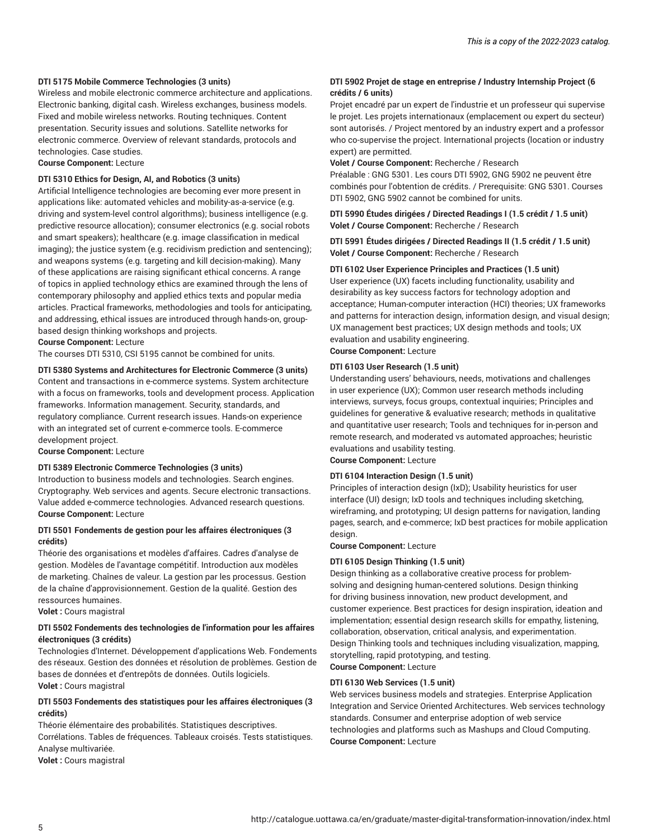#### **DTI 5175 Mobile Commerce Technologies (3 units)**

Wireless and mobile electronic commerce architecture and applications. Electronic banking, digital cash. Wireless exchanges, business models. Fixed and mobile wireless networks. Routing techniques. Content presentation. Security issues and solutions. Satellite networks for electronic commerce. Overview of relevant standards, protocols and technologies. Case studies.

#### **Course Component:** Lecture

#### **DTI 5310 Ethics for Design, AI, and Robotics (3 units)**

Artificial Intelligence technologies are becoming ever more present in applications like: automated vehicles and mobility-as-a-service (e.g. driving and system-level control algorithms); business intelligence (e.g. predictive resource allocation); consumer electronics (e.g. social robots and smart speakers); healthcare (e.g. image classification in medical imaging); the justice system (e.g. recidivism prediction and sentencing); and weapons systems (e.g. targeting and kill decision-making). Many of these applications are raising significant ethical concerns. A range of topics in applied technology ethics are examined through the lens of contemporary philosophy and applied ethics texts and popular media articles. Practical frameworks, methodologies and tools for anticipating, and addressing, ethical issues are introduced through hands-on, groupbased design thinking workshops and projects.

**Course Component:** Lecture

### The courses DTI 5310, CSI 5195 cannot be combined for units.

**DTI 5380 Systems and Architectures for Electronic Commerce (3 units)** Content and transactions in e-commerce systems. System architecture with a focus on frameworks, tools and development process. Application frameworks. Information management. Security, standards, and regulatory compliance. Current research issues. Hands-on experience with an integrated set of current e-commerce tools. E-commerce development project.

**Course Component:** Lecture

#### **DTI 5389 Electronic Commerce Technologies (3 units)**

Introduction to business models and technologies. Search engines. Cryptography. Web services and agents. Secure electronic transactions. Value added e-commerce technologies. Advanced research questions. **Course Component:** Lecture

#### **DTI 5501 Fondements de gestion pour les affaires électroniques (3 crédits)**

Théorie des organisations et modèles d'affaires. Cadres d'analyse de gestion. Modèles de l'avantage compétitif. Introduction aux modèles de marketing. Chaînes de valeur. La gestion par les processus. Gestion de la chaîne d'approvisionnement. Gestion de la qualité. Gestion des ressources humaines.

**Volet :** Cours magistral

#### **DTI 5502 Fondements des technologies de l'information pour les affaires électroniques (3 crédits)**

Technologies d'Internet. Développement d'applications Web. Fondements des réseaux. Gestion des données et résolution de problèmes. Gestion de bases de données et d'entrepôts de données. Outils logiciels. **Volet :** Cours magistral

#### **DTI 5503 Fondements des statistiques pour les affaires électroniques (3 crédits)**

Théorie élémentaire des probabilités. Statistiques descriptives. Corrélations. Tables de fréquences. Tableaux croisés. Tests statistiques. Analyse multivariée.

**Volet :** Cours magistral

#### **DTI 5902 Projet de stage en entreprise / Industry Internship Project (6 crédits / 6 units)**

Projet encadré par un expert de l'industrie et un professeur qui supervise le projet. Les projets internationaux (emplacement ou expert du secteur) sont autorisés. / Project mentored by an industry expert and a professor who co-supervise the project. International projects (location or industry expert) are permitted.

#### **Volet / Course Component:** Recherche / Research

Préalable : GNG 5301. Les cours DTI 5902, GNG 5902 ne peuvent être combinés pour l'obtention de crédits. / Prerequisite: GNG 5301. Courses DTI 5902, GNG 5902 cannot be combined for units.

**DTI 5990 Études dirigées / Directed Readings I (1.5 crédit / 1.5 unit) Volet / Course Component:** Recherche / Research

**DTI 5991 Études dirigées / Directed Readings II (1.5 crédit / 1.5 unit) Volet / Course Component:** Recherche / Research

#### **DTI 6102 User Experience Principles and Practices (1.5 unit)**

User experience (UX) facets including functionality, usability and desirability as key success factors for technology adoption and acceptance; Human-computer interaction (HCI) theories; UX frameworks and patterns for interaction design, information design, and visual design; UX management best practices; UX design methods and tools; UX evaluation and usability engineering. **Course Component:** Lecture

#### **DTI 6103 User Research (1.5 unit)**

Understanding users' behaviours, needs, motivations and challenges in user experience (UX); Common user research methods including interviews, surveys, focus groups, contextual inquiries; Principles and guidelines for generative & evaluative research; methods in qualitative and quantitative user research; Tools and techniques for in-person and remote research, and moderated vs automated approaches; heuristic evaluations and usability testing.

**Course Component:** Lecture

#### **DTI 6104 Interaction Design (1.5 unit)**

Principles of interaction design (IxD); Usability heuristics for user interface (UI) design; IxD tools and techniques including sketching, wireframing, and prototyping; UI design patterns for navigation, landing pages, search, and e-commerce; IxD best practices for mobile application design.

**Course Component:** Lecture

#### **DTI 6105 Design Thinking (1.5 unit)**

Design thinking as a collaborative creative process for problemsolving and designing human-centered solutions. Design thinking for driving business innovation, new product development, and customer experience. Best practices for design inspiration, ideation and implementation; essential design research skills for empathy, listening, collaboration, observation, critical analysis, and experimentation. Design Thinking tools and techniques including visualization, mapping, storytelling, rapid prototyping, and testing. **Course Component:** Lecture

#### **DTI 6130 Web Services (1.5 unit)**

Web services business models and strategies. Enterprise Application Integration and Service Oriented Architectures. Web services technology standards. Consumer and enterprise adoption of web service technologies and platforms such as Mashups and Cloud Computing. **Course Component:** Lecture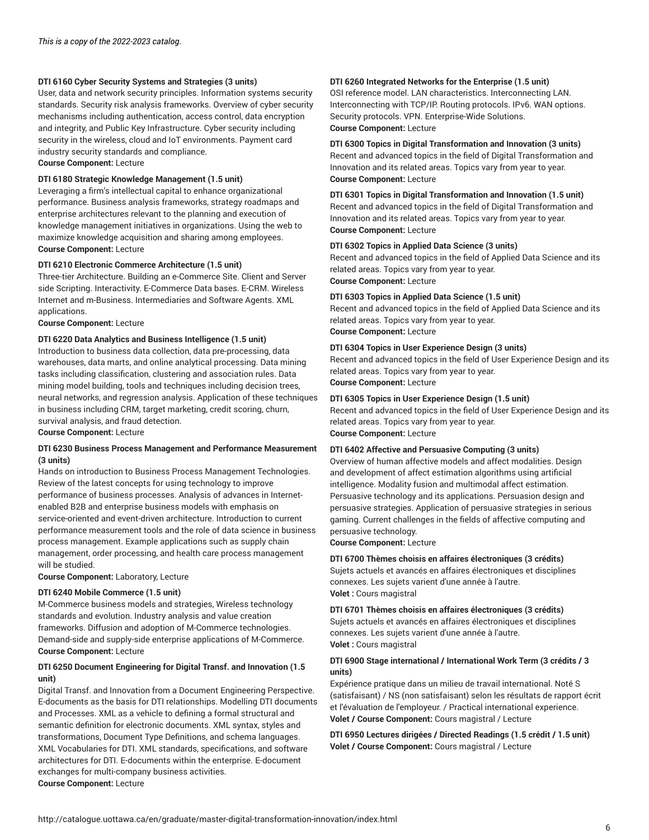#### **DTI 6160 Cyber Security Systems and Strategies (3 units)**

User, data and network security principles. Information systems security standards. Security risk analysis frameworks. Overview of cyber security mechanisms including authentication, access control, data encryption and integrity, and Public Key Infrastructure. Cyber security including security in the wireless, cloud and IoT environments. Payment card industry security standards and compliance.

**Course Component:** Lecture

#### **DTI 6180 Strategic Knowledge Management (1.5 unit)**

Leveraging a firm's intellectual capital to enhance organizational performance. Business analysis frameworks, strategy roadmaps and enterprise architectures relevant to the planning and execution of knowledge management initiatives in organizations. Using the web to maximize knowledge acquisition and sharing among employees. **Course Component:** Lecture

#### **DTI 6210 Electronic Commerce Architecture (1.5 unit)**

Three-tier Architecture. Building an e-Commerce Site. Client and Server side Scripting. Interactivity. E-Commerce Data bases. E-CRM. Wireless Internet and m-Business. Intermediaries and Software Agents. XML applications.

**Course Component:** Lecture

#### **DTI 6220 Data Analytics and Business Intelligence (1.5 unit)**

Introduction to business data collection, data pre-processing, data warehouses, data marts, and online analytical processing. Data mining tasks including classification, clustering and association rules. Data mining model building, tools and techniques including decision trees, neural networks, and regression analysis. Application of these techniques in business including CRM, target marketing, credit scoring, churn, survival analysis, and fraud detection.

**Course Component:** Lecture

#### **DTI 6230 Business Process Management and Performance Measurement (3 units)**

Hands on introduction to Business Process Management Technologies. Review of the latest concepts for using technology to improve performance of business processes. Analysis of advances in Internetenabled B2B and enterprise business models with emphasis on service-oriented and event-driven architecture. Introduction to current performance measurement tools and the role of data science in business process management. Example applications such as supply chain management, order processing, and health care process management will be studied.

**Course Component:** Laboratory, Lecture

#### **DTI 6240 Mobile Commerce (1.5 unit)**

M-Commerce business models and strategies, Wireless technology standards and evolution. Industry analysis and value creation frameworks. Diffusion and adoption of M-Commerce technologies. Demand-side and supply-side enterprise applications of M-Commerce. **Course Component:** Lecture

#### **DTI 6250 Document Engineering for Digital Transf. and Innovation (1.5 unit)**

Digital Transf. and Innovation from a Document Engineering Perspective. E-documents as the basis for DTI relationships. Modelling DTI documents and Processes. XML as a vehicle to defining a formal structural and semantic definition for electronic documents. XML syntax, styles and transformations, Document Type Definitions, and schema languages. XML Vocabularies for DTI. XML standards, specifications, and software architectures for DTI. E-documents within the enterprise. E-document exchanges for multi-company business activities. **Course Component:** Lecture

#### **DTI 6260 Integrated Networks for the Enterprise (1.5 unit)**

OSI reference model. LAN characteristics. Interconnecting LAN. Interconnecting with TCP/IP. Routing protocols. IPv6. WAN options. Security protocols. VPN. Enterprise-Wide Solutions. **Course Component:** Lecture

#### **DTI 6300 Topics in Digital Transformation and Innovation (3 units)**

Recent and advanced topics in the field of Digital Transformation and Innovation and its related areas. Topics vary from year to year. **Course Component:** Lecture

**DTI 6301 Topics in Digital Transformation and Innovation (1.5 unit)** Recent and advanced topics in the field of Digital Transformation and Innovation and its related areas. Topics vary from year to year. **Course Component:** Lecture

#### **DTI 6302 Topics in Applied Data Science (3 units)**

Recent and advanced topics in the field of Applied Data Science and its related areas. Topics vary from year to year. **Course Component:** Lecture

**DTI 6303 Topics in Applied Data Science (1.5 unit)**

Recent and advanced topics in the field of Applied Data Science and its related areas. Topics vary from year to year. **Course Component:** Lecture

#### **DTI 6304 Topics in User Experience Design (3 units)**

Recent and advanced topics in the field of User Experience Design and its related areas. Topics vary from year to year. **Course Component:** Lecture

#### **DTI 6305 Topics in User Experience Design (1.5 unit)**

Recent and advanced topics in the field of User Experience Design and its related areas. Topics vary from year to year.

**Course Component:** Lecture

#### **DTI 6402 Affective and Persuasive Computing (3 units)**

Overview of human affective models and affect modalities. Design and development of affect estimation algorithms using artificial intelligence. Modality fusion and multimodal affect estimation. Persuasive technology and its applications. Persuasion design and persuasive strategies. Application of persuasive strategies in serious gaming. Current challenges in the fields of affective computing and persuasive technology.

**Course Component:** Lecture

#### **DTI 6700 Thèmes choisis en affaires électroniques (3 crédits)**

Sujets actuels et avancés en affaires électroniques et disciplines connexes. Les sujets varient d'une année à l'autre. **Volet :** Cours magistral

#### **DTI 6701 Thèmes choisis en affaires électroniques (3 crédits)**

Sujets actuels et avancés en affaires électroniques et disciplines connexes. Les sujets varient d'une année à l'autre. **Volet :** Cours magistral

#### **DTI 6900 Stage international / International Work Term (3 crédits / 3 units)**

Expérience pratique dans un milieu de travail international. Noté S (satisfaisant) / NS (non satisfaisant) selon les résultats de rapport écrit et l'évaluation de l'employeur. / Practical international experience. **Volet / Course Component:** Cours magistral / Lecture

**DTI 6950 Lectures dirigées / Directed Readings (1.5 crédit / 1.5 unit) Volet / Course Component:** Cours magistral / Lecture